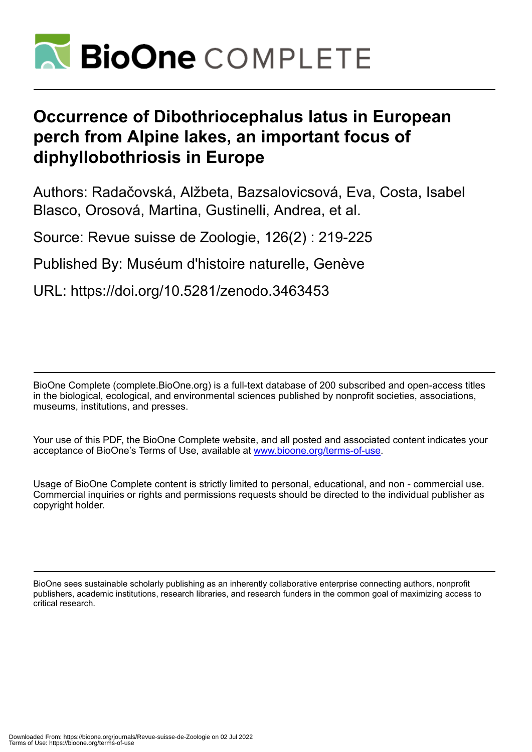

# **Occurrence of Dibothriocephalus latus in European perch from Alpine lakes, an important focus of diphyllobothriosis in Europe**

Authors: Radačovská, Alžbeta, Bazsalovicsová, Eva, Costa, Isabel Blasco, Orosová, Martina, Gustinelli, Andrea, et al.

Source: Revue suisse de Zoologie, 126(2) : 219-225

Published By: Muséum d'histoire naturelle, Genève

URL: https://doi.org/10.5281/zenodo.3463453

BioOne Complete (complete.BioOne.org) is a full-text database of 200 subscribed and open-access titles in the biological, ecological, and environmental sciences published by nonprofit societies, associations, museums, institutions, and presses.

Your use of this PDF, the BioOne Complete website, and all posted and associated content indicates your acceptance of BioOne's Terms of Use, available at www.bioone.org/terms-of-use.

Usage of BioOne Complete content is strictly limited to personal, educational, and non - commercial use. Commercial inquiries or rights and permissions requests should be directed to the individual publisher as copyright holder.

BioOne sees sustainable scholarly publishing as an inherently collaborative enterprise connecting authors, nonprofit publishers, academic institutions, research libraries, and research funders in the common goal of maximizing access to critical research.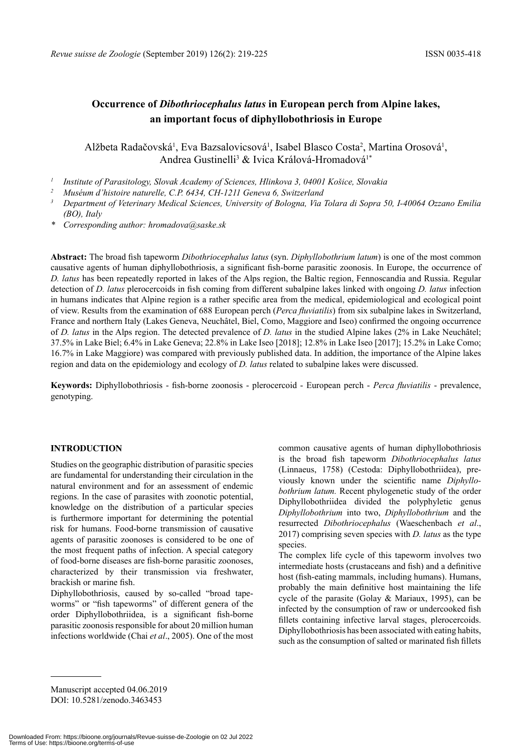# **Occurrence of** *Dibothriocephalus latus* **in European perch from Alpine lakes, an important focus of diphyllobothriosis in Europe**

# Alžbeta Radačovská<sup>1</sup>, Eva Bazsalovicsová<sup>1</sup>, Isabel Blasco Costa<sup>2</sup>, Martina Orosová<sup>1</sup>, Andrea Gustinelli<sup>3</sup> & Ivica Králová-Hromadová<sup>1\*</sup>

*<sup>1</sup> Institute of Parasitology, Slovak Academy of Sciences, Hlinkova 3, 04001 Košice, Slovakia*

- <sup>3</sup> Department of Veterinary Medical Sciences, University of Bologna, Via Tolara di Sopra 50, I-40064 Ozzano Emilia *(BO), Italy*
- *\* Corresponding author: hromadova@saske.sk*

**Abstract:** The broad fish tapeworm *Dibothriocephalus latus* (syn. *Diphyllobothrium latum*) is one of the most common causative agents of human diphyllobothriosis, a significant fish-borne parasitic zoonosis. In Europe, the occurrence of *D. latus* has been repeatedly reported in lakes of the Alps region, the Baltic region, Fennoscandia and Russia. Regular detection of *D. latus* plerocercoids in fish coming from different subalpine lakes linked with ongoing *D. latus* infection in humans indicates that Alpine region is a rather specific area from the medical, epidemiological and ecological point of view. Results from the examination of 688 European perch (*Perca fluviatilis*) from six subalpine lakes in Switzerland, France and northern Italy (Lakes Geneva, Neuchâtel, Biel, Como, Maggiore and Iseo) confirmed the ongoing occurrence of *D. latus* in the Alps region. The detected prevalence of *D. latus* in the studied Alpine lakes (2% in Lake Neuchâtel; 37.5% in Lake Biel; 6.4% in Lake Geneva; 22.8% in Lake Iseo [2018]; 12.8% in Lake Iseo [2017]; 15.2% in Lake Como; 16.7% in Lake Maggiore) was compared with previously published data. In addition, the importance of the Alpine lakes region and data on the epidemiology and ecology of *D. latus* related to subalpine lakes were discussed.

**Keywords:** Diphyllobothriosis - fish-borne zoonosis - plerocercoid - European perch - *Perca fluviatilis* - prevalence, genotyping.

# **INTRODUCTION**

Studies on the geographic distribution of parasitic species are fundamental for understanding their circulation in the natural environment and for an assessment of endemic regions. In the case of parasites with zoonotic potential, knowledge on the distribution of a particular species is furthermore important for determining the potential risk for humans. Food-borne transmission of causative agents of parasitic zoonoses is considered to be one of the most frequent paths of infection. A special category of food-borne diseases are fish-borne parasitic zoonoses, characterized by their transmission via freshwater, brackish or marine fish.

Diphyllobothriosis, caused by so-called "broad tapeworms" or "fish tapeworms" of different genera of the order Diphyllobothriidea, is a significant fish-borne parasitic zoonosis responsible for about 20 million human infections worldwide (Chai *et al*., 2005). One of the most common causative agents of human diphyllobothriosis is the broad fish tapeworm *Dibothriocephalus latus* (Linnaeus, 1758) (Cestoda: Diphyllobothriidea), previously known under the scientific name *Diphyllobothrium latum.* Recent phylogenetic study of the order Diphyllobothriidea divided the polyphyletic genus *Diphyllobothrium* into two, *Diphyllobothrium* and the resurrected *Dibothriocephalus* (Waeschenbach *et al*., 2017) comprising seven species with *D. latus* as the type species.

The complex life cycle of this tapeworm involves two intermediate hosts (crustaceans and fish) and a definitive host (fish-eating mammals, including humans). Humans, probably the main definitive host maintaining the life cycle of the parasite (Golay & Mariaux, 1995), can be infected by the consumption of raw or undercooked fish fillets containing infective larval stages, plerocercoids. Diphyllobothriosis has been associated with eating habits, such as the consumption of salted or marinated fish fillets

Manuscript accepted 04.06.2019 DOI: 10.5281/zenodo.3463453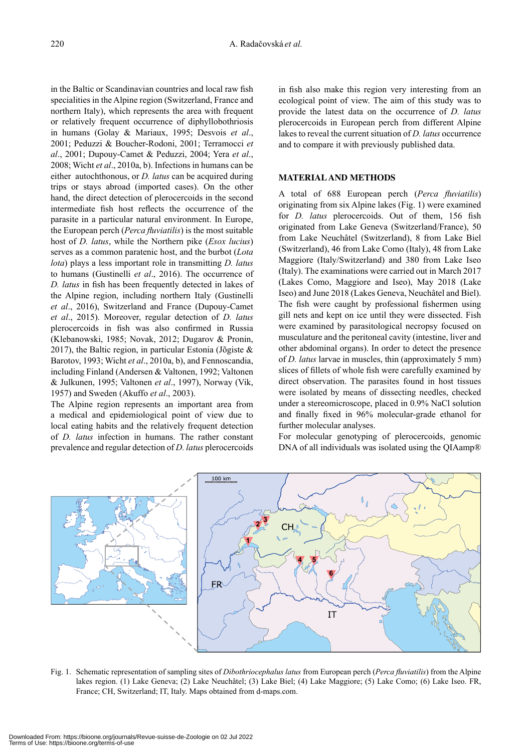in the Baltic or Scandinavian countries and local raw fish specialities in the Alpine region (Switzerland, France and northern Italy), which represents the area with frequent or relatively frequent occurrence of diphyllobothriosis in humans (Golay & Mariaux, 1995; Desvois *et al*., 2001; Peduzzi & Boucher-Rodoni, 2001; Terramocci *et al*., 2001; Dupouy-Camet & Peduzzi, 2004; Yera *et al*., 2008; Wicht *et al*., 2010a, b). Infections in humans can be either autochthonous, or *D. latus* can be acquired during trips or stays abroad (imported cases). On the other hand, the direct detection of plerocercoids in the second intermediate fish host reflects the occurrence of the parasite in a particular natural environment. In Europe, the European perch (*Perca fluviatilis*) is the most suitable host of *D. latus*, while the Northern pike (*Esox lucius*) serves as a common paratenic host, and the burbot (*Lota lota*) plays a less important role in transmitting *D. latus* to humans (Gustinelli *et al*., 2016). The occurrence of *D. latus* in fish has been frequently detected in lakes of the Alpine region, including northern Italy (Gustinelli *et al*., 2016), Switzerland and France (Dupouy-Camet *et al*., 2015). Moreover, regular detection of *D. latus* plerocercoids in fish was also confirmed in Russia (Klebanowski, 1985; Novak, 2012; Dugarov & Pronin, 2017), the Baltic region, in particular Estonia (Jõgiste & Barotov, 1993; Wicht *et al*., 2010a, b), and Fennoscandia, including Finland (Andersen & Valtonen, 1992; Valtonen & Julkunen, 1995; Valtonen *et al*., 1997), Norway (Vik, 1957) and Sweden (Akuffo *et al*., 2003).

The Alpine region represents an important area from a medical and epidemiological point of view due to local eating habits and the relatively frequent detection of *D. latus* infection in humans. The rather constant prevalence and regular detection of *D. latus* plerocercoids in fish also make this region very interesting from an ecological point of view. The aim of this study was to provide the latest data on the occurrence of *D. latus* plerocercoids in European perch from different Alpine lakes to reveal the current situation of *D. latus* occurrence and to compare it with previously published data.

# **MATERIAL AND METHODS**

A total of 688 European perch (*Perca fluviatilis*) originating from six Alpine lakes (Fig. 1) were examined for *D. latus* plerocercoids. Out of them, 156 fish originated from Lake Geneva (Switzerland/France), 50 from Lake Neuchâtel (Switzerland), 8 from Lake Biel (Switzerland), 46 from Lake Como (Italy), 48 from Lake Maggiore (Italy/Switzerland) and 380 from Lake Iseo (Italy). The examinations were carried out in March 2017 (Lakes Como, Maggiore and Iseo), May 2018 (Lake Iseo) and June 2018 (Lakes Geneva, Neuchâtel and Biel). The fish were caught by professional fishermen using gill nets and kept on ice until they were dissected. Fish were examined by parasitological necropsy focused on musculature and the peritoneal cavity (intestine, liver and other abdominal organs). In order to detect the presence of *D. latus* larvae in muscles, thin (approximately 5 mm) slices of fillets of whole fish were carefully examined by direct observation. The parasites found in host tissues were isolated by means of dissecting needles, checked under a stereomicroscope, placed in 0.9% NaCl solution and finally fixed in 96% molecular-grade ethanol for further molecular analyses.

For molecular genotyping of plerocercoids, genomic DNA of all individuals was isolated using the QIAamp®



Fig. 1. Schematic representation of sampling sites of *Dibothriocephalus latus* from European perch (*Perca fluviatilis*) from the Alpine lakes region. (1) Lake Geneva; (2) Lake Neuchâtel; (3) Lake Biel; (4) Lake Maggiore; (5) Lake Como; (6) Lake Iseo. FR, France; CH, Switzerland; IT, Italy. Maps obtained from d-maps.com.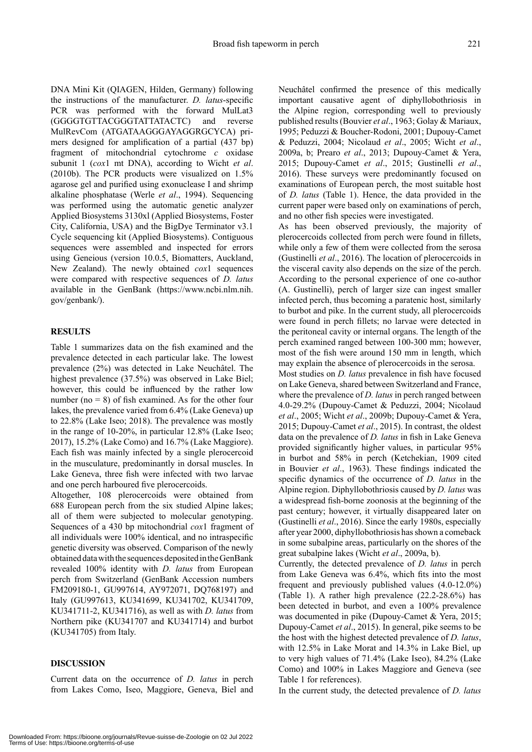DNA Mini Kit (QIAGEN, Hilden, Germany) following the instructions of the manufacturer. *D. latus*-specific PCR was performed with the forward MulLat3 (GGGGTGTTACGGGTATTATACTC) and reverse MulRevCom (ATGATAAGGGAYAGGRGCYCA) primers designed for amplification of a partial (437 bp) fragment of mitochondrial cytochrome *c* oxidase subunit 1 (*cox*1 mt DNA), according to Wicht *et al*. (2010b). The PCR products were visualized on 1.5% agarose gel and purified using exonuclease I and shrimp alkaline phosphatase (Werle *et al*., 1994). Sequencing was performed using the automatic genetic analyzer Applied Biosystems 3130xl (Applied Biosystems, Foster City, California, USA) and the BigDye Terminator v3.1 Cycle sequencing kit (Applied Biosystems). Contiguous sequences were assembled and inspected for errors using Geneious (version 10.0.5, Biomatters, Auckland, New Zealand). The newly obtained *cox*1 sequences were compared with respective sequences of *D. latus* available in the GenBank (https://www.ncbi.nlm.nih. gov/genbank/).

## **RESULTS**

Table 1 summarizes data on the fish examined and the prevalence detected in each particular lake. The lowest prevalence (2%) was detected in Lake Neuchâtel. The highest prevalence (37.5%) was observed in Lake Biel; however, this could be influenced by the rather low number ( $no = 8$ ) of fish examined. As for the other four lakes, the prevalence varied from 6.4% (Lake Geneva) up to 22.8% (Lake Iseo; 2018). The prevalence was mostly in the range of 10-20%, in particular 12.8% (Lake Iseo; 2017), 15.2% (Lake Como) and 16.7% (Lake Maggiore). Each fish was mainly infected by a single plerocercoid in the musculature, predominantly in dorsal muscles. In Lake Geneva, three fish were infected with two larvae and one perch harboured five plerocercoids.

Altogether, 108 plerocercoids were obtained from 688 European perch from the six studied Alpine lakes; all of them were subjected to molecular genotyping. Sequences of a 430 bp mitochondrial *cox*1 fragment of all individuals were 100% identical, and no intraspecific genetic diversity was observed. Comparison of the newly obtained data with the sequences deposited in the GenBank revealed 100% identity with *D. latus* from European perch from Switzerland (GenBank Accession numbers FM209180-1, GU997614, AY972071, DQ768197) and Italy (GU997613, KU341699, KU341702, KU341709, KU341711-2, KU341716), as well as with *D. latus* from Northern pike (KU341707 and KU341714) and burbot (KU341705) from Italy.

#### **DISCUSSION**

Current data on the occurrence of *D. latus* in perch from Lakes Como, Iseo, Maggiore, Geneva, Biel and Neuchâtel confirmed the presence of this medically important causative agent of diphyllobothriosis in the Alpine region, corresponding well to previously published results (Bouvier *et al*., 1963; Golay & Mariaux, 1995; Peduzzi & Boucher-Rodoni, 2001; Dupouy-Camet & Peduzzi, 2004; Nicolaud *et al*., 2005; Wicht *et al*., 2009a, b; Prearo *et al*., 2013; Dupouy-Camet & Yera, 2015; Dupouy-Camet *et al*., 2015; Gustinelli *et al*., 2016). These surveys were predominantly focused on examinations of European perch, the most suitable host of *D. latus* (Table 1). Hence, the data provided in the current paper were based only on examinations of perch, and no other fish species were investigated.

As has been observed previously, the majority of plerocercoids collected from perch were found in fillets, while only a few of them were collected from the serosa (Gustinelli *et al*., 2016). The location of plerocercoids in the visceral cavity also depends on the size of the perch. According to the personal experience of one co-author (A. Gustinelli), perch of larger size can ingest smaller infected perch, thus becoming a paratenic host, similarly to burbot and pike. In the current study, all plerocercoids were found in perch fillets; no larvae were detected in the peritoneal cavity or internal organs. The length of the perch examined ranged between 100-300 mm; however, most of the fish were around 150 mm in length, which may explain the absence of plerocercoids in the serosa.

Most studies on *D. latus* prevalence in fish have focused on Lake Geneva, shared between Switzerland and France, where the prevalence of *D. latus* in perch ranged between 4.0-29.2% (Dupouy-Camet & Peduzzi, 2004; Nicolaud *et al*., 2005; Wicht *et al*., 2009b; Dupouy-Camet & Yera, 2015; Dupouy-Camet *et al*., 2015). In contrast, the oldest data on the prevalence of *D. latus* in fish in Lake Geneva provided significantly higher values, in particular 95% in burbot and 58% in perch (Ketchekian, 1909 cited in Bouvier *et al*., 1963). These findings indicated the specific dynamics of the occurrence of *D. latus* in the Alpine region. Diphyllobothriosis caused by *D. latus* was a widespread fish-borne zoonosis at the beginning of the past century; however, it virtually disappeared later on (Gustinelli *et al*., 2016). Since the early 1980s, especially after year 2000, diphyllobothriosis has shown a comeback in some subalpine areas, particularly on the shores of the great subalpine lakes (Wicht *et al*., 2009a, b).

Currently, the detected prevalence of *D. latus* in perch from Lake Geneva was 6.4%, which fits into the most frequent and previously published values (4.0-12.0%) (Table 1). A rather high prevalence (22.2-28.6%) has been detected in burbot, and even a 100% prevalence was documented in pike (Dupouy-Camet & Yera, 2015; Dupouy-Camet *et al*., 2015). In general, pike seems to be the host with the highest detected prevalence of *D. latus*, with 12.5% in Lake Morat and 14.3% in Lake Biel, up to very high values of 71.4% (Lake Iseo), 84.2% (Lake Como) and 100% in Lakes Maggiore and Geneva (see Table 1 for references).

In the current study, the detected prevalence of *D. latus*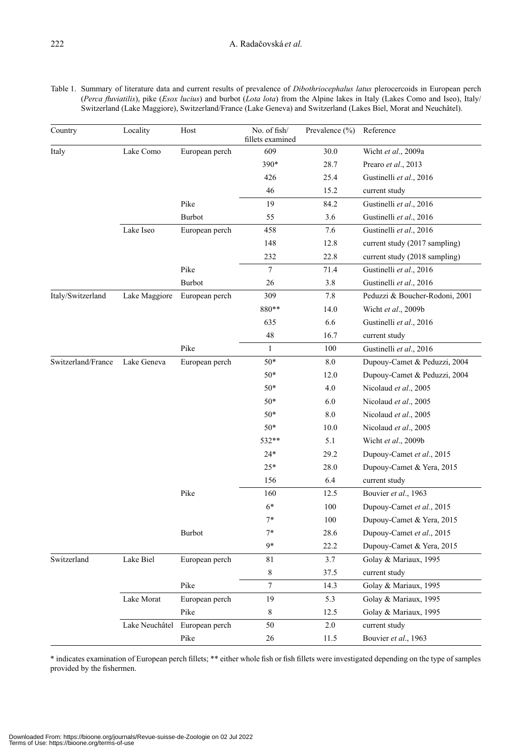| Country            | Locality       | Host           | No. of fish/<br>fillets examined | Prevalence (%) | Reference                      |
|--------------------|----------------|----------------|----------------------------------|----------------|--------------------------------|
| Italy              | Lake Como      | European perch | 609                              | 30.0           | Wicht et al., 2009a            |
|                    |                |                | 390*                             | 28.7           | Prearo et al., 2013            |
|                    |                |                | 426                              | 25.4           | Gustinelli et al., 2016        |
|                    |                |                | 46                               | 15.2           | current study                  |
|                    |                | Pike           | 19                               | 84.2           | Gustinelli et al., 2016        |
|                    |                | <b>Burbot</b>  | 55                               | 3.6            | Gustinelli et al., 2016        |
|                    | Lake Iseo      | European perch | 458                              | 7.6            | Gustinelli et al., 2016        |
|                    |                |                | 148                              | 12.8           | current study (2017 sampling)  |
|                    |                |                | 232                              | 22.8           | current study (2018 sampling)  |
|                    |                | Pike           | 7                                | 71.4           | Gustinelli et al., 2016        |
|                    |                | <b>Burbot</b>  | 26                               | 3.8            | Gustinelli et al., 2016        |
| Italy/Switzerland  | Lake Maggiore  | European perch | 309                              | 7.8            | Peduzzi & Boucher-Rodoni, 2001 |
|                    |                |                | 880**                            | 14.0           | Wicht et al., 2009b            |
|                    |                |                | 635                              | 6.6            | Gustinelli et al., 2016        |
|                    |                |                | 48                               | 16.7           | current study                  |
|                    |                | Pike           | $\mathbf{1}$                     | 100            | Gustinelli et al., 2016        |
| Switzerland/France | Lake Geneva    | European perch | $50*$                            | $8.0\,$        | Dupouy-Camet & Peduzzi, 2004   |
|                    |                |                | $50*$                            | 12.0           | Dupouy-Camet & Peduzzi, 2004   |
|                    |                |                | $50*$                            | 4.0            | Nicolaud et al., 2005          |
|                    |                |                | $50*$                            | 6.0            | Nicolaud et al., 2005          |
|                    |                |                | $50*$                            | $8.0\,$        | Nicolaud et al., 2005          |
|                    |                |                | $50*$                            | 10.0           | Nicolaud et al., 2005          |
|                    |                |                | 532**                            | 5.1            | Wicht et al., 2009b            |
|                    |                |                | $24*$                            | 29.2           | Dupouy-Camet et al., 2015      |
|                    |                |                | $25*$                            | 28.0           | Dupouy-Camet & Yera, 2015      |
|                    |                |                | 156                              | 6.4            | current study                  |
|                    |                | Pike           | 160                              | 12.5           | Bouvier et al., 1963           |
|                    |                |                | $6*$                             | 100            | Dupouy-Camet et al., 2015      |
|                    |                |                | $7*$                             | 100            | Dupouy-Camet & Yera, 2015      |
|                    |                | Burbot         | $7*$                             | 28.6           | Dupouy-Camet et al., 2015      |
|                    |                |                | $9*$                             | 22.2           | Dupouy-Camet & Yera, 2015      |
| Switzerland        | Lake Biel      | European perch | 81                               | 3.7            | Golay & Mariaux, 1995          |
|                    |                |                | 8                                | 37.5           | current study                  |
|                    |                | Pike           | $\overline{7}$                   | 14.3           | Golay & Mariaux, 1995          |
|                    | Lake Morat     | European perch | 19                               | 5.3            | Golay & Mariaux, 1995          |
|                    |                | Pike           | 8                                | 12.5           | Golay & Mariaux, 1995          |
|                    | Lake Neuchâtel | European perch | 50                               | 2.0            | current study                  |
|                    |                | Pike           | $26\,$                           | 11.5           | Bouvier et al., 1963           |

\* indicates examination of European perch fillets; \*\* either whole fish or fish fillets were investigated depending on the type of samples provided by the fishermen.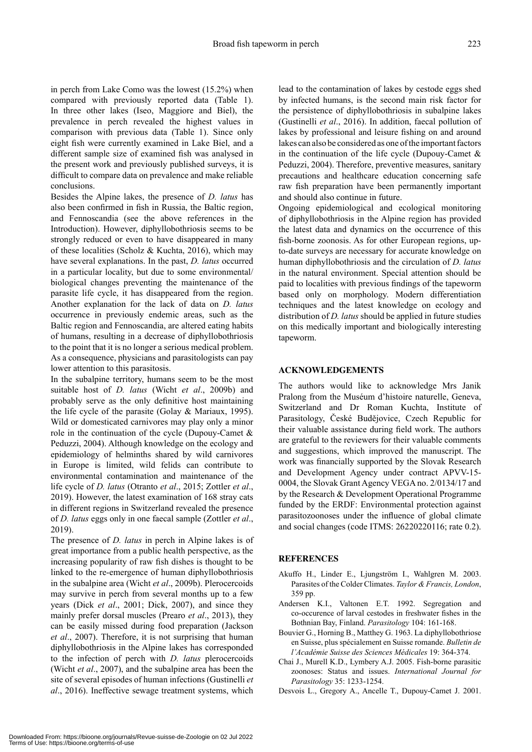in perch from Lake Como was the lowest (15.2%) when compared with previously reported data (Table 1). In three other lakes (Iseo, Maggiore and Biel), the prevalence in perch revealed the highest values in comparison with previous data (Table 1). Since only eight fish were currently examined in Lake Biel, and a different sample size of examined fish was analysed in the present work and previously published surveys, it is difficult to compare data on prevalence and make reliable conclusions.

Besides the Alpine lakes, the presence of *D. latus* has also been confirmed in fish in Russia, the Baltic region, and Fennoscandia (see the above references in the Introduction). However, diphyllobothriosis seems to be strongly reduced or even to have disappeared in many of these localities (Scholz & Kuchta, 2016), which may have several explanations. In the past, *D. latus* occurred in a particular locality, but due to some environmental/ biological changes preventing the maintenance of the parasite life cycle, it has disappeared from the region. Another explanation for the lack of data on *D. latus* occurrence in previously endemic areas, such as the Baltic region and Fennoscandia, are altered eating habits of humans, resulting in a decrease of diphyllobothriosis to the point that it is no longer a serious medical problem. As a consequence, physicians and parasitologists can pay lower attention to this parasitosis.

In the subalpine territory, humans seem to be the most suitable host of *D. latus* (Wicht *et al*., 2009b) and probably serve as the only definitive host maintaining the life cycle of the parasite (Golay & Mariaux, 1995). Wild or domesticated carnivores may play only a minor role in the continuation of the cycle (Dupouy-Camet & Peduzzi, 2004). Although knowledge on the ecology and epidemiology of helminths shared by wild carnivores in Europe is limited, wild felids can contribute to environmental contamination and maintenance of the life cycle of *D. latus* (Otranto *et al*., 2015; Zottler *et al*., 2019). However, the latest examination of 168 stray cats in different regions in Switzerland revealed the presence of *D. latus* eggs only in one faecal sample (Zottler *et al*., 2019).

The presence of *D. latus* in perch in Alpine lakes is of great importance from a public health perspective, as the increasing popularity of raw fish dishes is thought to be linked to the re-emergence of human diphyllobothriosis in the subalpine area (Wicht *et al*., 2009b). Plerocercoids may survive in perch from several months up to a few years (Dick *et al*., 2001; Dick, 2007), and since they mainly prefer dorsal muscles (Prearo *et al*., 2013), they can be easily missed during food preparation (Jackson *et al*., 2007). Therefore, it is not surprising that human diphyllobothriosis in the Alpine lakes has corresponded to the infection of perch with *D. latus* plerocercoids (Wicht *et al*., 2007), and the subalpine area has been the site of several episodes of human infections (Gustinelli *et al*., 2016). Ineffective sewage treatment systems, which

lead to the contamination of lakes by cestode eggs shed by infected humans, is the second main risk factor for the persistence of diphyllobothriosis in subalpine lakes (Gustinelli *et al*., 2016). In addition, faecal pollution of lakes by professional and leisure fishing on and around lakes can also be considered as one of the important factors in the continuation of the life cycle (Dupouy-Camet  $\&$ Peduzzi, 2004). Therefore, preventive measures, sanitary precautions and healthcare education concerning safe raw fish preparation have been permanently important and should also continue in future.

Ongoing epidemiological and ecological monitoring of diphyllobothriosis in the Alpine region has provided the latest data and dynamics on the occurrence of this fish-borne zoonosis. As for other European regions, upto-date surveys are necessary for accurate knowledge on human diphyllobothriosis and the circulation of *D. latus* in the natural environment. Special attention should be paid to localities with previous findings of the tapeworm based only on morphology. Modern differentiation techniques and the latest knowledge on ecology and distribution of *D. latus* should be applied in future studies on this medically important and biologically interesting tapeworm.

## **ACKNOWLEDGEMENTS**

The authors would like to acknowledge Mrs Janik Pralong from the Muséum d'histoire naturelle, Geneva, Switzerland and Dr Roman Kuchta, Institute of Parasitology, České Budějovice, Czech Republic for their valuable assistance during field work. The authors are grateful to the reviewers for their valuable comments and suggestions, which improved the manuscript. The work was financially supported by the Slovak Research and Development Agency under contract APVV-15- 0004, the Slovak Grant Agency VEGA no. 2/0134/17 and by the Research & Development Operational Programme funded by the ERDF: Environmental protection against parasitozoonoses under the influence of global climate and social changes (code ITMS: 26220220116; rate 0.2).

## **REFERENCES**

- Akuffo H., Linder E., Ljungström I., Wahlgren M. 2003. Parasites of the Colder Climates. *Taylor & Francis, London*, 359 pp.
- Andersen K.I., Valtonen E.T. 1992. Segregation and co-occurence of larval cestodes in freshwater fishes in the Bothnian Bay, Finland. *Parasitology* 104: 161-168.
- Bouvier G., Horning B., Matthey G. 1963. La diphyllobothriose en Suisse, plus spécialement en Suisse romande. *Bulletin de l'Académie Suisse des Sciences Médicales* 19: 364-374.
- Chai J., Murell K.D., Lymbery A.J. 2005. Fish-borne parasitic zoonoses: Status and issues. *International Journal for Parasitology* 35: 1233-1254.
- Desvois L., Gregory A., Ancelle T., Dupouy-Camet J. 2001.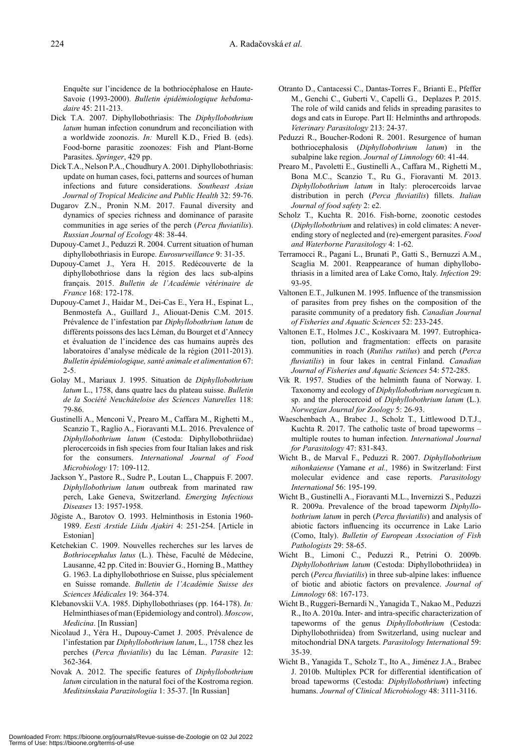Enquête sur l'incidence de la bothriocéphalose en Haute-Savoie (1993-2000). *Bulletin épidémiologique hebdomadaire* 45: 211-213.

- Dick T.A. 2007. Diphyllobothriasis: The *Diphyllobothrium latum* human infection conundrum and reconciliation with a worldwide zoonozis. *In:* Murell K.D., Fried B. (eds). Food-borne parasitic zoonozes: Fish and Plant-Borne Parasites. *Springer*, 429 pp.
- Dick T.A., Nelson P.A., Choudhury A. 2001. Diphyllobothriasis: update on human cases, foci, patterns and sources of human infections and future considerations. *Southeast Asian Journal of Tropical Medicine and Public Health* 32: 59-76.
- Dugarov Z.N., Pronin N.M. 2017. Faunal diversity and dynamics of species richness and dominance of parasite communities in age series of the perch (*Perca fluviatilis*). *Russian Journal of Ecology* 48: 38-44.
- Dupouy-Camet J., Peduzzi R. 2004. Current situation of human diphyllobothriasis in Europe. *Eurosurveillance* 9: 31-35.
- Dupouy-Camet J., Yera H. 2015. Redécouverte de la diphyllobothriose dans la région des lacs sub-alpins franҫais. 2015. *Bulletin de l'Académie vétérinaire de France* 168: 172-178.
- Dupouy-Camet J., Haidar M., Dei-Cas E., Yera H., Espinat L., Benmostefa A., Guillard J., Aliouat-Denis C.M. 2015. Prévalence de l'infestation par *Diphyllobothrium latum* de différents poissons des lacs Léman, du Bourget et d'Annecy et évaluation de l'incidence des cas humains auprès des laboratoires d'analyse médicale de la région (2011-2013). *Bulletin épidémiologique, santé animale et alimentation* 67: 2-5.
- Golay M., Mariaux J. 1995. Situation de *Diphyllobothrium latum* L., 1758, dans quatre lacs du plateau suisse. *Bulletin de la Société Neuchâteloise des Sciences Naturelles* 118: 79-86.
- Gustinelli A., Menconi V., Prearo M., Caffara M., Righetti M., Scanzio T., Raglio A., Fioravanti M.L. 2016. Prevalence of *Diphyllobothrium latum* (Cestoda: Diphyllobothriidae) plerocercoids in fish species from four Italian lakes and risk for the consumers. *International Journal of Food Microbiology* 17: 109-112.
- Jackson Y., Pastore R., Sudre P., Loutan L., Chappuis F. 2007. *Diphyllobothrium latum* outbreak from marinated raw perch, Lake Geneva, Switzerland. *Emerging Infectious Diseases* 13: 1957-1958.
- Jõgiste A., Barotov O. 1993. Helminthosis in Estonia 1960- 1989. *Eesti Arstide Liidu Ajakiri* 4: 251-254. [Article in Estonian]
- Ketchekian C. 1909. Nouvelles recherches sur les larves de *Bothriocephalus latus* (L.). Thèse, Faculté de Médecine, Lausanne, 42 pp. Cited in: Bouvier G., Horning B., Matthey G. 1963. La diphyllobothriose en Suisse, plus spécialement en Suisse romande. *Bulletin de l'Académie Suisse des Sciences Médicales* 19: 364-374.
- Klebanovskii V.A. 1985. Diphyllobothriases (pp. 164-178). *In:* Helminthiases of man (Epidemiology and control). *Moscow*, *Medicina*. [In Russian]
- Nicolaud J., Yéra H., Dupouy-Camet J. 2005. Prévalence de l'infestation par *Diphyllobothrium latum*, L., 1758 chez les perches (*Perca fluviatilis*) du lac Léman. *Parasite* 12: 362-364.
- Novak A. 2012. The specific features of *Diphyllobothrium latum* circulation in the natural foci of the Kostroma region. *Meditsinskaia Parazitologiia* 1: 35-37. [In Russian]
- Otranto D., Cantacessi C., Dantas-Torres F., Brianti E., Pfeffer M., Genchi C., Guberti V., Capelli G., Deplazes P. 2015. The role of wild canids and felids in spreading parasites to dogs and cats in Europe. Part II: Helminths and arthropods. *Veterinary Parasitology* 213: 24-37.
- Peduzzi R., Boucher-Rodoni R. 2001. Resurgence of human bothriocephalosis (*Diphyllobothrium latum*) in the subalpine lake region. *Journal of Limnology* 60: 41-44.
- Prearo M., Pavoletti E., Gustinelli A., Caffara M., Righetti M., Bona M.C., Scanzio T., Ru G., Fioravanti M. 2013. *Diphyllobothrium latum* in Italy: plerocercoids larvae distribution in perch (*Perca fluviatilis*) fillets. *Italian Journal of food safety* 2: e2.
- Scholz T., Kuchta R. 2016. Fish-borne, zoonotic cestodes (*Diphyllobothrium* and relatives) in cold climates: A neverending story of neglected and (re)-emergent parasites. *Food and Waterborne Parasitology* 4: 1-62.
- Terramocci R., Pagani L., Brunati P., Gatti S., Bernuzzi A.M., Scaglia M. 2001. Reappearance of human diphyllobothriasis in a limited area of Lake Como, Italy. *Infection* 29: 93-95.
- Valtonen E.T., Julkunen M. 1995. Influence of the transmission of parasites from prey fishes on the composition of the parasite community of a predatory fish. *Canadian Journal of Fisheries and Aquatic Sciences* 52: 233-245.
- Valtonen E.T., Holmes J.C., Koskivaara M. 1997. Eutrophication, pollution and fragmentation: effects on parasite communities in roach (*Rutilus rutilus*) and perch (*Perca fluviatilis*) in four lakes in central Finland. *Canadian Journal of Fisheries and Aquatic Sciences* 54: 572-285.
- Vik R. 1957. Studies of the helminth fauna of Norway. I. Taxonomy and ecology of *Diphyllobothrium norvegicum* n. sp. and the plerocercoid of *Diphyllobothrium latum* (L.). *Norwegian Journal for Zoology* 5: 26-93.
- Waeschenbach A., Brabec J., Scholz T., Littlewood D.T.J., Kuchta R. 2017. The catholic taste of broad tapeworms – multiple routes to human infection. *International Journal for Parasitology* 47: 831-843.
- Wicht B., de Marval F., Peduzzi R. 2007. *Diphyllobothrium nihonkaiense* (Yamane *et al.,* 1986) in Switzerland: First molecular evidence and case reports. *Parasitology International* 56: 195-199.
- Wicht B., Gustinelli A., Fioravanti M.L., Invernizzi S., Peduzzi R. 2009a. Prevalence of the broad tapeworm *Diphyllobothrium latum* in perch (*Perca fluviatilis*) and analysis of abiotic factors influencing its occurrence in Lake Lario (Como, Italy). *Bulletin of European Association of Fish Pathologists* 29: 58-65.
- Wicht B., Limoni C., Peduzzi R., Petrini O. 2009b. *Diphyllobothrium latum* (Cestoda: Diphyllobothriidea) in perch (*Perca fluviatilis*) in three sub-alpine lakes: influence of biotic and abiotic factors on prevalence. *Journal of Limnology* 68: 167-173.
- Wicht B., Ruggeri-Bernardi N., Yanagida T., Nakao M., Peduzzi R., Ito A. 2010a. Inter- and intra-specific characterization of tapeworms of the genus *Diphyllobothrium* (Cestoda: Diphyllobothriidea) from Switzerland, using nuclear and mitochondrial DNA targets. *Parasitology International* 59: 35-39.
- Wicht B., Yanagida T., Scholz T., Ito A., Jiménez J.A., Brabec J. 2010b. Multiplex PCR for differential identification of broad tapeworms (Cestoda: *Diphyllobothrium*) infecting humans. *Journal of Clinical Microbiology* 48: 3111-3116.